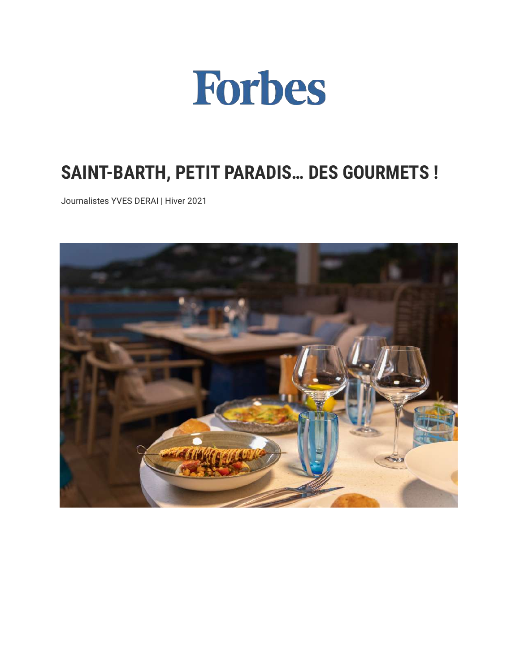

## **SAINT-BARTH, PETIT PARADIS… DES GOURMETS !**

Journalistes YVES DERAI | Hiver 2021

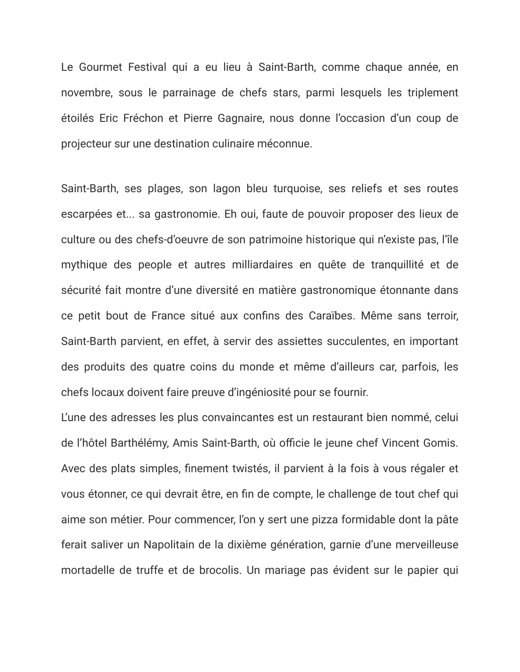Le Gourmet Festival qui a eu lieu à Saint-Barth, comme chaque année, en novembre, sous le parrainage de chefs stars, parmi lesquels les triplement étoilés Eric Fréchon et Pierre Gagnaire, nous donne l'occasion d'un coup de projecteur sur une destination culinaire méconnue.

Saint-Barth, ses plages, son lagon bleu turquoise, ses reliefs et ses routes escarpées et... sa gastronomie. Eh oui, faute de pouvoir proposer des lieux de culture ou des chefs-d'oeuvre de son patrimoine historique qui n'existe pas, l'île mythique des people et autres milliardaires en quête de tranquillité et de sécurité fait montre d'une diversité en matière gastronomique étonnante dans ce petit bout de France situé aux confins des Caraïbes. Même sans terroir, Saint-Barth parvient, en effet, à servir des assiettes succulentes, en important des produits des quatre coins du monde et même d'ailleurs car, parfois, les chefs locaux doivent faire preuve d'ingéniosité pour se fournir.

L'une des adresses les plus convaincantes est un restaurant bien nommé, celui de l'hôtel Barthélémy, Amis Saint-Barth, où officie le jeune chef Vincent Gomis. Avec des plats simples, finement twistés, il parvient à la fois à vous régaler et vous étonner, ce qui devrait être, en fin de compte, le challenge de tout chef qui aime son métier. Pour commencer, l'on y sert une pizza formidable dont la pâte ferait saliver un Napolitain de la dixième génération, garnie d'une merveilleuse mortadelle de truffe et de brocolis. Un mariage pas évident sur le papier qui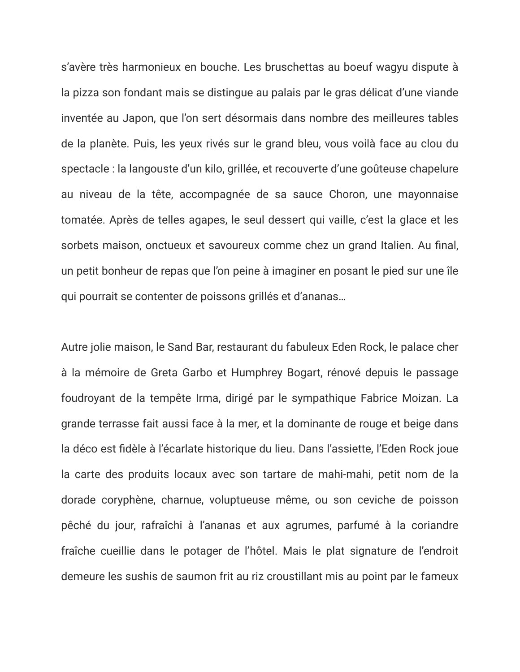s'avère très harmonieux en bouche. Les bruschettas au boeuf wagyu dispute à la pizza son fondant mais se distingue au palais par le gras délicat d'une viande inventée au Japon, que l'on sert désormais dans nombre des meilleures tables de la planète. Puis, les yeux rivés sur le grand bleu, vous voilà face au clou du spectacle : la langouste d'un kilo, grillée, et recouverte d'une goûteuse chapelure au niveau de la tête, accompagnée de sa sauce Choron, une mayonnaise tomatée. Après de telles agapes, le seul dessert qui vaille, c'est la glace et les sorbets maison, onctueux et savoureux comme chez un grand Italien. Au final, un petit bonheur de repas que l'on peine à imaginer en posant le pied sur une île qui pourrait se contenter de poissons grillés et d'ananas…

Autre jolie maison, le Sand Bar, restaurant du fabuleux Eden Rock, le palace cher à la mémoire de Greta Garbo et Humphrey Bogart, rénové depuis le passage foudroyant de la tempête Irma, dirigé par le sympathique Fabrice Moizan. La grande terrasse fait aussi face à la mer, et la dominante de rouge et beige dans la déco est fidèle à l'écarlate historique du lieu. Dans l'assiette, l'Eden Rock joue la carte des produits locaux avec son tartare de mahi-mahi, petit nom de la dorade coryphène, charnue, voluptueuse même, ou son ceviche de poisson pêché du jour, rafraîchi à l'ananas et aux agrumes, parfumé à la coriandre fraîche cueillie dans le potager de l'hôtel. Mais le plat signature de l'endroit demeure les sushis de saumon frit au riz croustillant mis au point par le fameux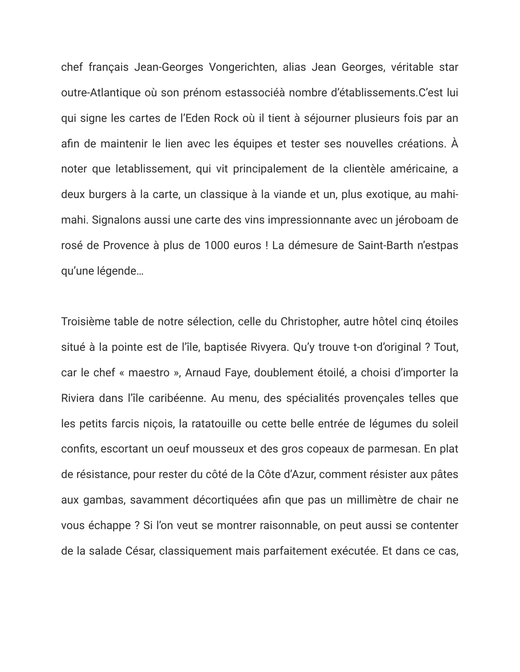chef français Jean-Georges Vongerichten, alias Jean Georges, véritable star outre-Atlantique où son prénom estassociéà nombre d'établissements.C'est lui qui signe les cartes de l'Eden Rock où il tient à séjourner plusieurs fois par an afin de maintenir le lien avec les équipes et tester ses nouvelles créations. À noter que letablissement, qui vit principalement de la clientèle américaine, a deux burgers à la carte, un classique à la viande et un, plus exotique, au mahimahi. Signalons aussi une carte des vins impressionnante avec un jéroboam de rosé de Provence à plus de 1000 euros ! La démesure de Saint-Barth n'estpas qu'une légende…

Troisième table de notre sélection, celle du Christopher, autre hôtel cinq étoiles situé à la pointe est de l'île, baptisée Rivyera. Qu'y trouve t-on d'original ? Tout, car le chef « maestro », Arnaud Faye, doublement étoilé, a choisi d'importer la Riviera dans l'île caribéenne. Au menu, des spécialités provençales telles que les petits farcis niçois, la ratatouille ou cette belle entrée de légumes du soleil confits, escortant un oeuf mousseux et des gros copeaux de parmesan. En plat de résistance, pour rester du côté de la Côte d'Azur, comment résister aux pâtes aux gambas, savamment décortiquées afin que pas un millimètre de chair ne vous échappe ? Si l'on veut se montrer raisonnable, on peut aussi se contenter de la salade César, classiquement mais parfaitement exécutée. Et dans ce cas,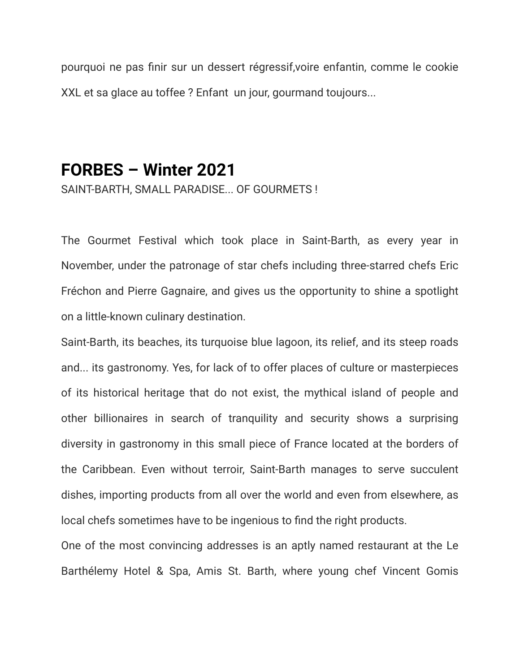pourquoi ne pas finir sur un dessert régressif,voire enfantin, comme le cookie XXL et sa glace au toffee ? Enfant un jour, gourmand toujours...

## **FORBES – Winter 2021**

SAINT-BARTH, SMALL PARADISE... OF GOURMETS !

The Gourmet Festival which took place in Saint-Barth, as every year in November, under the patronage of star chefs including three-starred chefs Eric Fréchon and Pierre Gagnaire, and gives us the opportunity to shine a spotlight on a little-known culinary destination.

Saint-Barth, its beaches, its turquoise blue lagoon, its relief, and its steep roads and... its gastronomy. Yes, for lack of to offer places of culture or masterpieces of its historical heritage that do not exist, the mythical island of people and other billionaires in search of tranquility and security shows a surprising diversity in gastronomy in this small piece of France located at the borders of the Caribbean. Even without terroir, Saint-Barth manages to serve succulent dishes, importing products from all over the world and even from elsewhere, as local chefs sometimes have to be ingenious to find the right products.

One of the most convincing addresses is an aptly named restaurant at the Le Barthélemy Hotel & Spa, Amis St. Barth, where young chef Vincent Gomis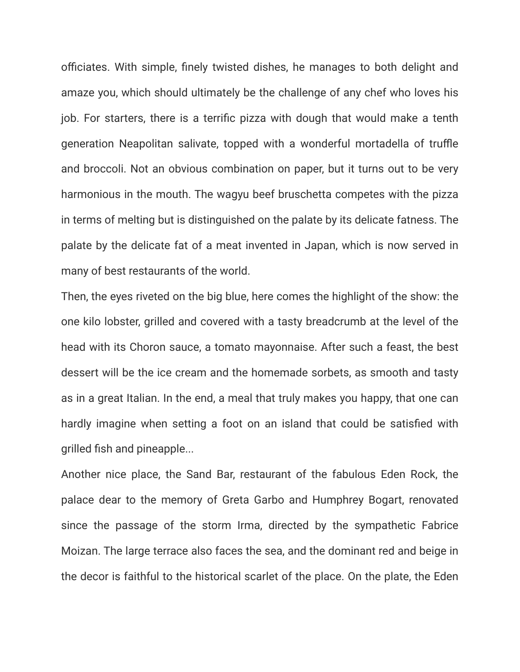officiates. With simple, finely twisted dishes, he manages to both delight and amaze you, which should ultimately be the challenge of any chef who loves his job. For starters, there is a terrific pizza with dough that would make a tenth generation Neapolitan salivate, topped with a wonderful mortadella of truffle and broccoli. Not an obvious combination on paper, but it turns out to be very harmonious in the mouth. The wagyu beef bruschetta competes with the pizza in terms of melting but is distinguished on the palate by its delicate fatness. The palate by the delicate fat of a meat invented in Japan, which is now served in many of best restaurants of the world.

Then, the eyes riveted on the big blue, here comes the highlight of the show: the one kilo lobster, grilled and covered with a tasty breadcrumb at the level of the head with its Choron sauce, a tomato mayonnaise. After such a feast, the best dessert will be the ice cream and the homemade sorbets, as smooth and tasty as in a great Italian. In the end, a meal that truly makes you happy, that one can hardly imagine when setting a foot on an island that could be satisfied with grilled fish and pineapple...

Another nice place, the Sand Bar, restaurant of the fabulous Eden Rock, the palace dear to the memory of Greta Garbo and Humphrey Bogart, renovated since the passage of the storm Irma, directed by the sympathetic Fabrice Moizan. The large terrace also faces the sea, and the dominant red and beige in the decor is faithful to the historical scarlet of the place. On the plate, the Eden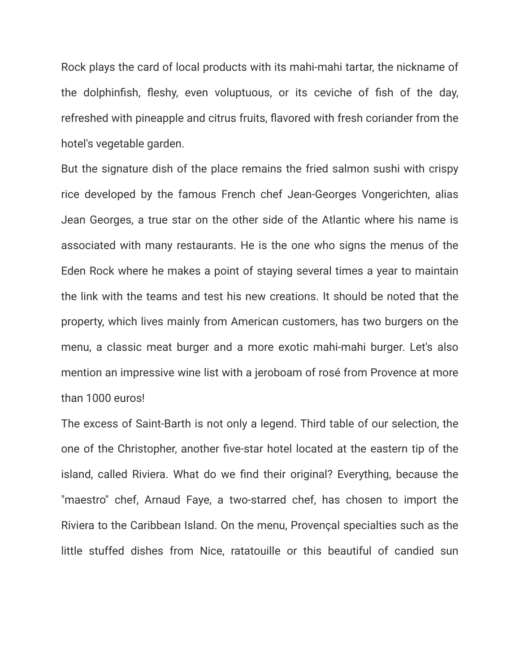Rock plays the card of local products with its mahi-mahi tartar, the nickname of the dolphinfish, fleshy, even voluptuous, or its ceviche of fish of the day, refreshed with pineapple and citrus fruits, flavored with fresh coriander from the hotel's vegetable garden.

But the signature dish of the place remains the fried salmon sushi with crispy rice developed by the famous French chef Jean-Georges Vongerichten, alias Jean Georges, a true star on the other side of the Atlantic where his name is associated with many restaurants. He is the one who signs the menus of the Eden Rock where he makes a point of staying several times a year to maintain the link with the teams and test his new creations. It should be noted that the property, which lives mainly from American customers, has two burgers on the menu, a classic meat burger and a more exotic mahi-mahi burger. Let's also mention an impressive wine list with a jeroboam of rosé from Provence at more than 1000 euros!

The excess of Saint-Barth is not only a legend. Third table of our selection, the one of the Christopher, another five-star hotel located at the eastern tip of the island, called Riviera. What do we find their original? Everything, because the "maestro" chef, Arnaud Faye, a two-starred chef, has chosen to import the Riviera to the Caribbean Island. On the menu, Provençal specialties such as the little stuffed dishes from Nice, ratatouille or this beautiful of candied sun